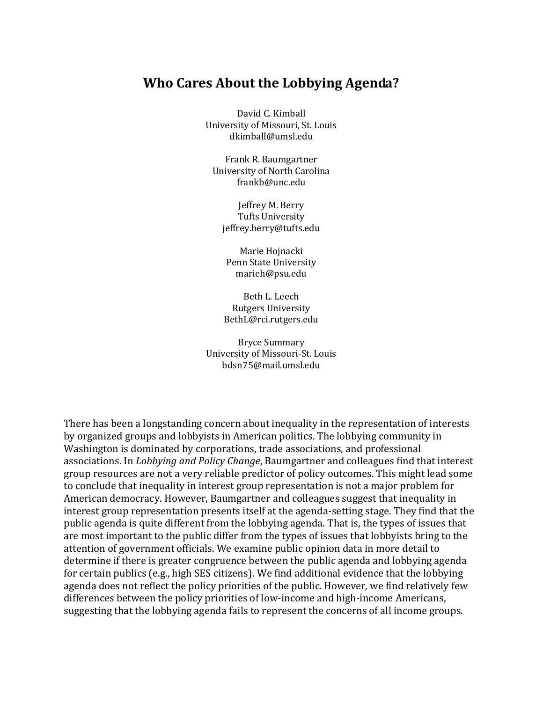# **Who Cares About the Lobbying Agenda?**

David C. Kimball University of Missouri, St. Louis dkimball@umsl.edu

Frank R. Baumgartner University of North Carolina frankb@unc.edu

Jeffrey M. Berry Tufts University jeffrey.berry@tufts.edu

Marie Hojnacki Penn State University marieh@psu.edu

Beth L. Leech Rutgers University BethL@rci.rutgers.edu

Bryce Summary University of Missouri-St. Louis bdsn75@mail.umsl.edu

There has been a longstanding concern about inequality in the representation of interests by organized groups and lobbyists in American politics. The lobbying community in Washington is dominated by corporations, trade associations, and professional associations. In *Lobbying and Policy Change*, Baumgartner and colleagues find that interest group resources are not a very reliable predictor of policy outcomes. This might lead some to conclude that inequality in interest group representation is not a major problem for American democracy. However, Baumgartner and colleagues suggest that inequality in interest group representation presents itself at the agenda-setting stage. They find that the public agenda is quite different from the lobbying agenda. That is, the types of issues that are most important to the public differ from the types of issues that lobbyists bring to the attention of government officials. We examine public opinion data in more detail to determine if there is greater congruence between the public agenda and lobbying agenda for certain publics (e.g., high SES citizens). We find additional evidence that the lobbying agenda does not reflect the policy priorities of the public. However, we find relatively few differences between the policy priorities of low-income and high-income Americans, suggesting that the lobbying agenda fails to represent the concerns of all income groups.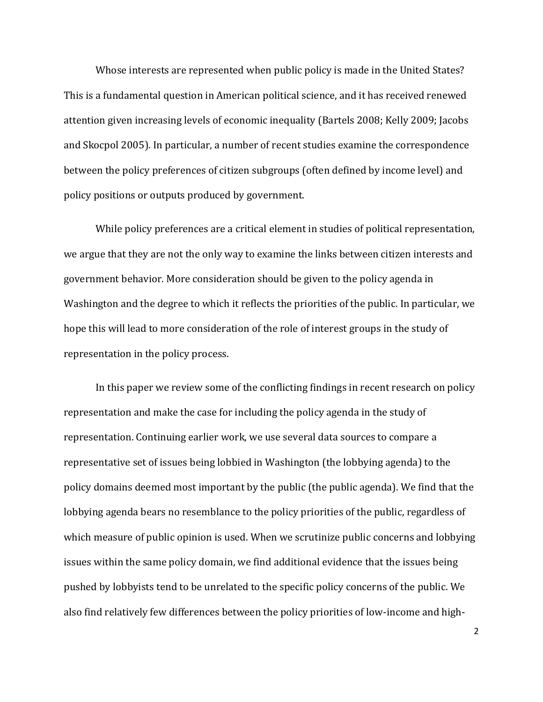Whose interests are represented when public policy is made in the United States? This is a fundamental question in American political science, and it has received renewed attention given increasing levels of economic inequality (Bartels 2008; Kelly 2009; Jacobs and Skocpol 2005). In particular, a number of recent studies examine the correspondence between the policy preferences of citizen subgroups (often defined by income level) and policy positions or outputs produced by government.

While policy preferences are a critical element in studies of political representation, we argue that they are not the only way to examine the links between citizen interests and government behavior. More consideration should be given to the policy agenda in Washington and the degree to which it reflects the priorities of the public. In particular, we hope this will lead to more consideration of the role of interest groups in the study of representation in the policy process.

In this paper we review some of the conflicting findings in recent research on policy representation and make the case for including the policy agenda in the study of representation. Continuing earlier work, we use several data sources to compare a representative set of issues being lobbied in Washington (the lobbying agenda) to the policy domains deemed most important by the public (the public agenda). We find that the lobbying agenda bears no resemblance to the policy priorities of the public, regardless of which measure of public opinion is used. When we scrutinize public concerns and lobbying issues within the same policy domain, we find additional evidence that the issues being pushed by lobbyists tend to be unrelated to the specific policy concerns of the public. We also find relatively few differences between the policy priorities of low-income and high-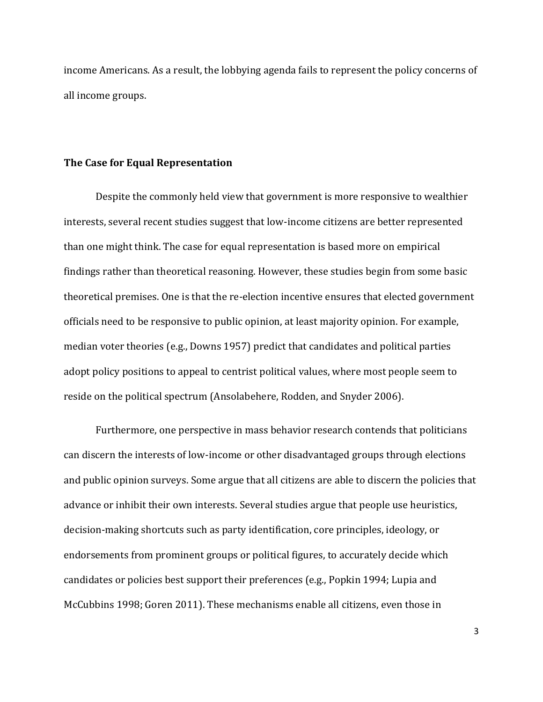income Americans. As a result, the lobbying agenda fails to represent the policy concerns of all income groups.

#### **The Case for Equal Representation**

Despite the commonly held view that government is more responsive to wealthier interests, several recent studies suggest that low-income citizens are better represented than one might think. The case for equal representation is based more on empirical findings rather than theoretical reasoning. However, these studies begin from some basic theoretical premises. One is that the re-election incentive ensures that elected government officials need to be responsive to public opinion, at least majority opinion. For example, median voter theories (e.g., Downs 1957) predict that candidates and political parties adopt policy positions to appeal to centrist political values, where most people seem to reside on the political spectrum (Ansolabehere, Rodden, and Snyder 2006).

Furthermore, one perspective in mass behavior research contends that politicians can discern the interests of low-income or other disadvantaged groups through elections and public opinion surveys. Some argue that all citizens are able to discern the policies that advance or inhibit their own interests. Several studies argue that people use heuristics, decision-making shortcuts such as party identification, core principles, ideology, or endorsements from prominent groups or political figures, to accurately decide which candidates or policies best support their preferences (e.g., Popkin 1994; Lupia and McCubbins 1998; Goren 2011). These mechanisms enable all citizens, even those in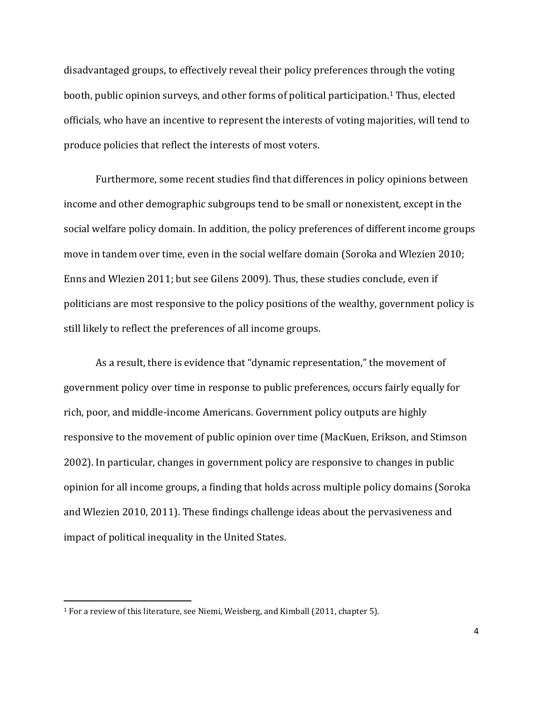disadvantaged groups, to effectively reveal their policy preferences through the voting booth, public opinion surveys, and other forms of political participation.<sup>1</sup> Thus, elected officials, who have an incentive to represent the interests of voting majorities, will tend to produce policies that reflect the interests of most voters.

Furthermore, some recent studies find that differences in policy opinions between income and other demographic subgroups tend to be small or nonexistent, except in the social welfare policy domain. In addition, the policy preferences of different income groups move in tandem over time, even in the social welfare domain (Soroka and Wlezien 2010; Enns and Wlezien 2011; but see Gilens 2009). Thus, these studies conclude, even if politicians are most responsive to the policy positions of the wealthy, government policy is still likely to reflect the preferences of all income groups.

As a result, there is evidence that "dynamic representation," the movement of government policy over time in response to public preferences, occurs fairly equally for rich, poor, and middle-income Americans. Government policy outputs are highly responsive to the movement of public opinion over time (MacKuen, Erikson, and Stimson 2002). In particular, changes in government policy are responsive to changes in public opinion for all income groups, a finding that holds across multiple policy domains (Soroka and Wlezien 2010, 2011). These findings challenge ideas about the pervasiveness and impact of political inequality in the United States.

 $\overline{\phantom{a}}$ 

<sup>1</sup> For a review of this literature, see Niemi, Weisberg, and Kimball (2011, chapter 5).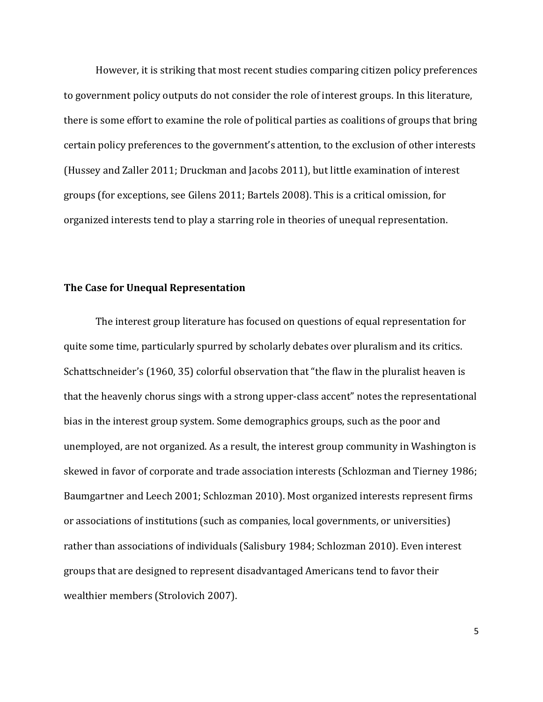However, it is striking that most recent studies comparing citizen policy preferences to government policy outputs do not consider the role of interest groups. In this literature, there is some effort to examine the role of political parties as coalitions of groups that bring certain policy preferences to the government's attention, to the exclusion of other interests (Hussey and Zaller 2011; Druckman and Jacobs 2011), but little examination of interest groups (for exceptions, see Gilens 2011; Bartels 2008). This is a critical omission, for organized interests tend to play a starring role in theories of unequal representation.

#### **The Case for Unequal Representation**

The interest group literature has focused on questions of equal representation for quite some time, particularly spurred by scholarly debates over pluralism and its critics. Schattschneider's (1960, 35) colorful observation that "the flaw in the pluralist heaven is that the heavenly chorus sings with a strong upper-class accent" notes the representational bias in the interest group system. Some demographics groups, such as the poor and unemployed, are not organized. As a result, the interest group community in Washington is skewed in favor of corporate and trade association interests (Schlozman and Tierney 1986; Baumgartner and Leech 2001; Schlozman 2010). Most organized interests represent firms or associations of institutions (such as companies, local governments, or universities) rather than associations of individuals (Salisbury 1984; Schlozman 2010). Even interest groups that are designed to represent disadvantaged Americans tend to favor their wealthier members (Strolovich 2007).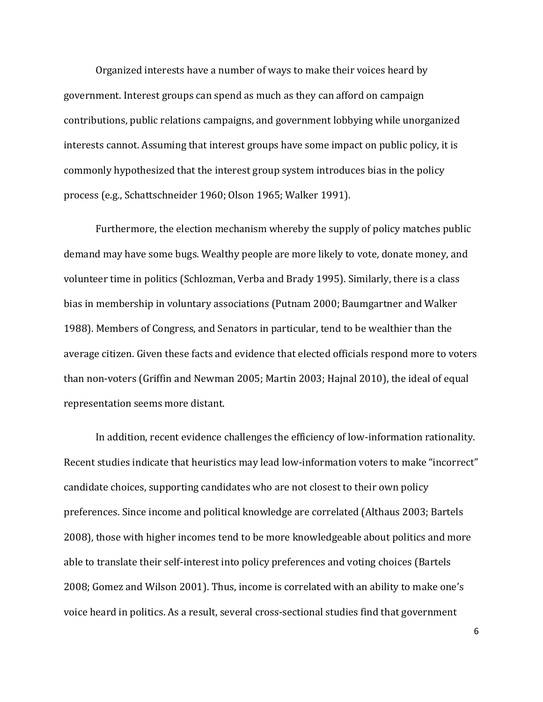Organized interests have a number of ways to make their voices heard by government. Interest groups can spend as much as they can afford on campaign contributions, public relations campaigns, and government lobbying while unorganized interests cannot. Assuming that interest groups have some impact on public policy, it is commonly hypothesized that the interest group system introduces bias in the policy process (e.g., Schattschneider 1960; Olson 1965; Walker 1991).

Furthermore, the election mechanism whereby the supply of policy matches public demand may have some bugs. Wealthy people are more likely to vote, donate money, and volunteer time in politics (Schlozman, Verba and Brady 1995). Similarly, there is a class bias in membership in voluntary associations (Putnam 2000; Baumgartner and Walker 1988). Members of Congress, and Senators in particular, tend to be wealthier than the average citizen. Given these facts and evidence that elected officials respond more to voters than non-voters (Griffin and Newman 2005; Martin 2003; Hajnal 2010), the ideal of equal representation seems more distant.

In addition, recent evidence challenges the efficiency of low-information rationality. Recent studies indicate that heuristics may lead low-information voters to make "incorrect" candidate choices, supporting candidates who are not closest to their own policy preferences. Since income and political knowledge are correlated (Althaus 2003; Bartels 2008), those with higher incomes tend to be more knowledgeable about politics and more able to translate their self-interest into policy preferences and voting choices (Bartels 2008; Gomez and Wilson 2001). Thus, income is correlated with an ability to make one's voice heard in politics. As a result, several cross-sectional studies find that government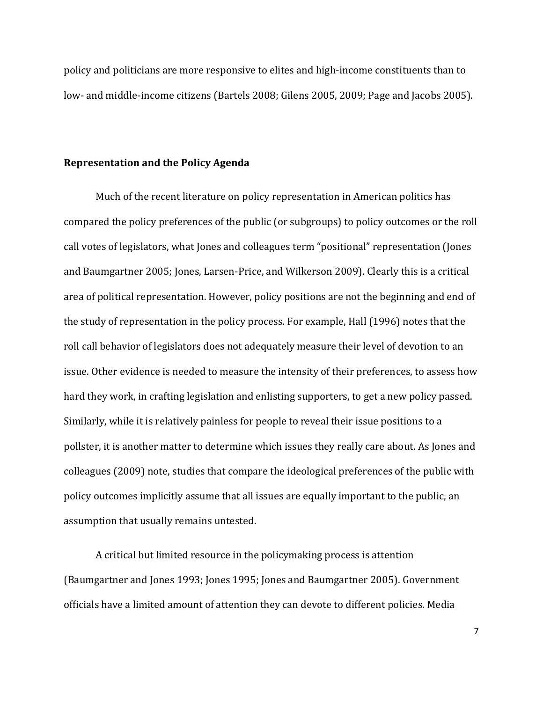policy and politicians are more responsive to elites and high-income constituents than to low- and middle-income citizens (Bartels 2008; Gilens 2005, 2009; Page and Jacobs 2005).

## **Representation and the Policy Agenda**

Much of the recent literature on policy representation in American politics has compared the policy preferences of the public (or subgroups) to policy outcomes or the roll call votes of legislators, what Jones and colleagues term "positional" representation (Jones and Baumgartner 2005; Jones, Larsen-Price, and Wilkerson 2009). Clearly this is a critical area of political representation. However, policy positions are not the beginning and end of the study of representation in the policy process. For example, Hall (1996) notes that the roll call behavior of legislators does not adequately measure their level of devotion to an issue. Other evidence is needed to measure the intensity of their preferences, to assess how hard they work, in crafting legislation and enlisting supporters, to get a new policy passed. Similarly, while it is relatively painless for people to reveal their issue positions to a pollster, it is another matter to determine which issues they really care about. As Jones and colleagues (2009) note, studies that compare the ideological preferences of the public with policy outcomes implicitly assume that all issues are equally important to the public, an assumption that usually remains untested.

A critical but limited resource in the policymaking process is attention (Baumgartner and Jones 1993; Jones 1995; Jones and Baumgartner 2005). Government officials have a limited amount of attention they can devote to different policies. Media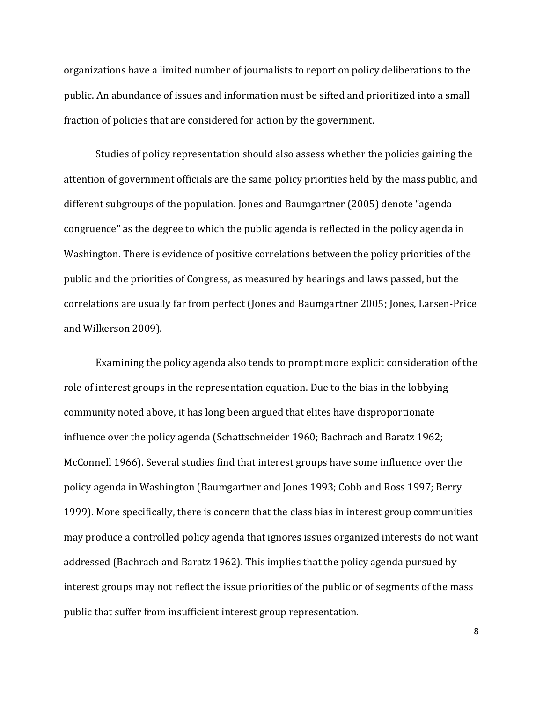organizations have a limited number of journalists to report on policy deliberations to the public. An abundance of issues and information must be sifted and prioritized into a small fraction of policies that are considered for action by the government.

Studies of policy representation should also assess whether the policies gaining the attention of government officials are the same policy priorities held by the mass public, and different subgroups of the population. Jones and Baumgartner (2005) denote "agenda congruence" as the degree to which the public agenda is reflected in the policy agenda in Washington. There is evidence of positive correlations between the policy priorities of the public and the priorities of Congress, as measured by hearings and laws passed, but the correlations are usually far from perfect (Jones and Baumgartner 2005; Jones, Larsen-Price and Wilkerson 2009).

Examining the policy agenda also tends to prompt more explicit consideration of the role of interest groups in the representation equation. Due to the bias in the lobbying community noted above, it has long been argued that elites have disproportionate influence over the policy agenda (Schattschneider 1960; Bachrach and Baratz 1962; McConnell 1966). Several studies find that interest groups have some influence over the policy agenda in Washington (Baumgartner and Jones 1993; Cobb and Ross 1997; Berry 1999). More specifically, there is concern that the class bias in interest group communities may produce a controlled policy agenda that ignores issues organized interests do not want addressed (Bachrach and Baratz 1962). This implies that the policy agenda pursued by interest groups may not reflect the issue priorities of the public or of segments of the mass public that suffer from insufficient interest group representation.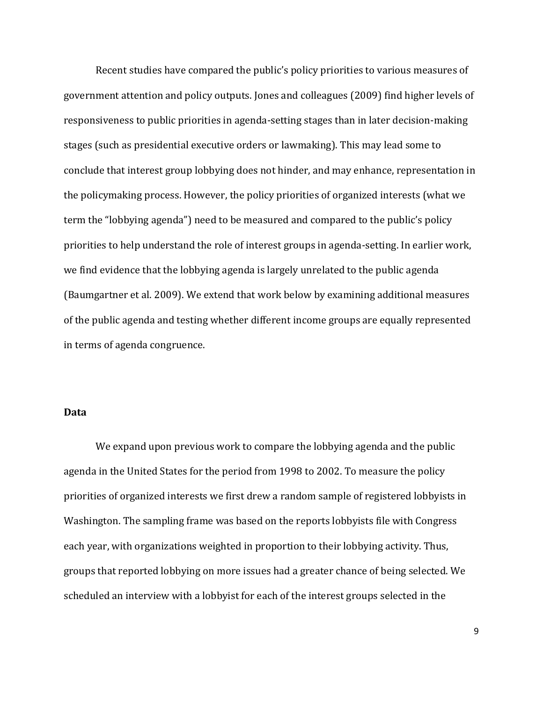Recent studies have compared the public's policy priorities to various measures of government attention and policy outputs. Jones and colleagues (2009) find higher levels of responsiveness to public priorities in agenda-setting stages than in later decision-making stages (such as presidential executive orders or lawmaking). This may lead some to conclude that interest group lobbying does not hinder, and may enhance, representation in the policymaking process. However, the policy priorities of organized interests (what we term the "lobbying agenda") need to be measured and compared to the public's policy priorities to help understand the role of interest groups in agenda-setting. In earlier work, we find evidence that the lobbying agenda is largely unrelated to the public agenda (Baumgartner et al. 2009). We extend that work below by examining additional measures of the public agenda and testing whether different income groups are equally represented in terms of agenda congruence.

#### **Data**

We expand upon previous work to compare the lobbying agenda and the public agenda in the United States for the period from 1998 to 2002. To measure the policy priorities of organized interests we first drew a random sample of registered lobbyists in Washington. The sampling frame was based on the reports lobbyists file with Congress each year, with organizations weighted in proportion to their lobbying activity. Thus, groups that reported lobbying on more issues had a greater chance of being selected. We scheduled an interview with a lobbyist for each of the interest groups selected in the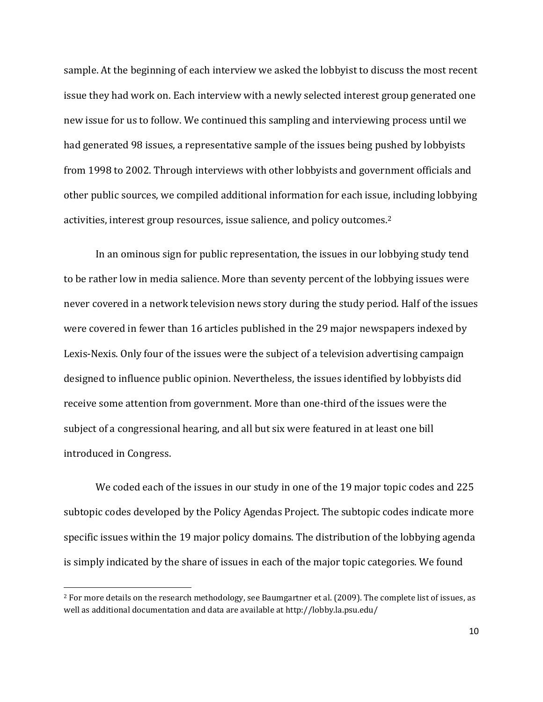sample. At the beginning of each interview we asked the lobbyist to discuss the most recent issue they had work on. Each interview with a newly selected interest group generated one new issue for us to follow. We continued this sampling and interviewing process until we had generated 98 issues, a representative sample of the issues being pushed by lobbyists from 1998 to 2002. Through interviews with other lobbyists and government officials and other public sources, we compiled additional information for each issue, including lobbying activities, interest group resources, issue salience, and policy outcomes.<sup>2</sup>

In an ominous sign for public representation, the issues in our lobbying study tend to be rather low in media salience. More than seventy percent of the lobbying issues were never covered in a network television news story during the study period. Half of the issues were covered in fewer than 16 articles published in the 29 major newspapers indexed by Lexis-Nexis. Only four of the issues were the subject of a television advertising campaign designed to influence public opinion. Nevertheless, the issues identified by lobbyists did receive some attention from government. More than one-third of the issues were the subject of a congressional hearing, and all but six were featured in at least one bill introduced in Congress.

We coded each of the issues in our study in one of the 19 major topic codes and 225 subtopic codes developed by the Policy Agendas Project. The subtopic codes indicate more specific issues within the 19 major policy domains. The distribution of the lobbying agenda is simply indicated by the share of issues in each of the major topic categories. We found

 $\overline{a}$ 

<sup>2</sup> For more details on the research methodology, see Baumgartner et al. (2009). The complete list of issues, as well as additional documentation and data are available at http://lobby.la.psu.edu/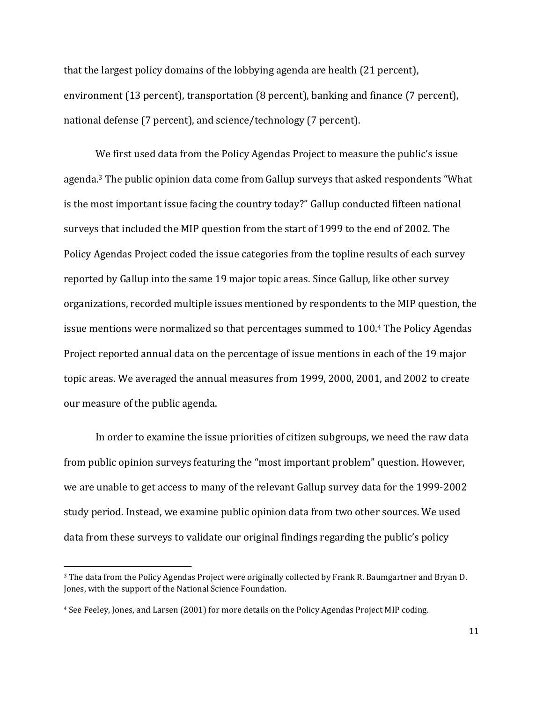that the largest policy domains of the lobbying agenda are health (21 percent), environment (13 percent), transportation (8 percent), banking and finance (7 percent), national defense (7 percent), and science/technology (7 percent).

We first used data from the Policy Agendas Project to measure the public's issue agenda.<sup>3</sup> The public opinion data come from Gallup surveys that asked respondents "What is the most important issue facing the country today?" Gallup conducted fifteen national surveys that included the MIP question from the start of 1999 to the end of 2002. The Policy Agendas Project coded the issue categories from the topline results of each survey reported by Gallup into the same 19 major topic areas. Since Gallup, like other survey organizations, recorded multiple issues mentioned by respondents to the MIP question, the issue mentions were normalized so that percentages summed to 100.<sup>4</sup> The Policy Agendas Project reported annual data on the percentage of issue mentions in each of the 19 major topic areas. We averaged the annual measures from 1999, 2000, 2001, and 2002 to create our measure of the public agenda.

In order to examine the issue priorities of citizen subgroups, we need the raw data from public opinion surveys featuring the "most important problem" question. However, we are unable to get access to many of the relevant Gallup survey data for the 1999-2002 study period. Instead, we examine public opinion data from two other sources. We used data from these surveys to validate our original findings regarding the public's policy

l

<sup>3</sup> The data from the Policy Agendas Project were originally collected by Frank R. Baumgartner and Bryan D. Jones, with the support of the National Science Foundation.

<sup>4</sup> See Feeley, Jones, and Larsen (2001) for more details on the Policy Agendas Project MIP coding.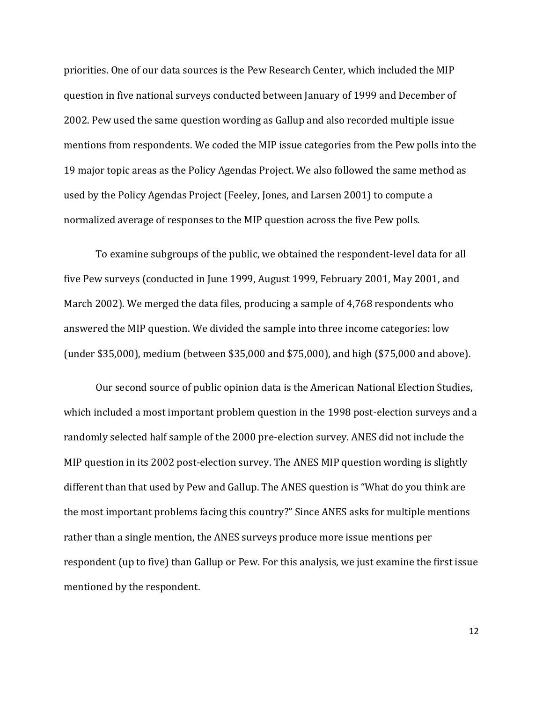priorities. One of our data sources is the Pew Research Center, which included the MIP question in five national surveys conducted between January of 1999 and December of 2002. Pew used the same question wording as Gallup and also recorded multiple issue mentions from respondents. We coded the MIP issue categories from the Pew polls into the 19 major topic areas as the Policy Agendas Project. We also followed the same method as used by the Policy Agendas Project (Feeley, Jones, and Larsen 2001) to compute a normalized average of responses to the MIP question across the five Pew polls.

To examine subgroups of the public, we obtained the respondent-level data for all five Pew surveys (conducted in June 1999, August 1999, February 2001, May 2001, and March 2002). We merged the data files, producing a sample of 4,768 respondents who answered the MIP question. We divided the sample into three income categories: low (under \$35,000), medium (between \$35,000 and \$75,000), and high (\$75,000 and above).

Our second source of public opinion data is the American National Election Studies, which included a most important problem question in the 1998 post-election surveys and a randomly selected half sample of the 2000 pre-election survey. ANES did not include the MIP question in its 2002 post-election survey. The ANES MIP question wording is slightly different than that used by Pew and Gallup. The ANES question is "What do you think are the most important problems facing this country?" Since ANES asks for multiple mentions rather than a single mention, the ANES surveys produce more issue mentions per respondent (up to five) than Gallup or Pew. For this analysis, we just examine the first issue mentioned by the respondent.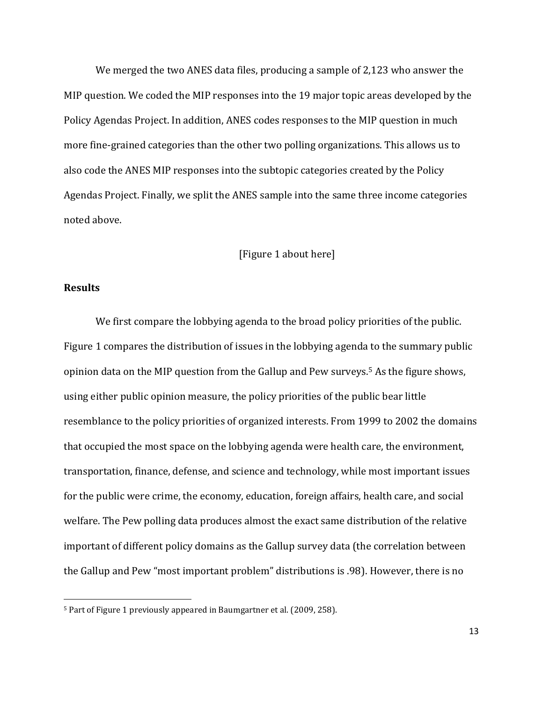We merged the two ANES data files, producing a sample of 2,123 who answer the MIP question. We coded the MIP responses into the 19 major topic areas developed by the Policy Agendas Project. In addition, ANES codes responses to the MIP question in much more fine-grained categories than the other two polling organizations. This allows us to also code the ANES MIP responses into the subtopic categories created by the Policy Agendas Project. Finally, we split the ANES sample into the same three income categories noted above.

#### [Figure 1 about here]

#### **Results**

 $\overline{\phantom{a}}$ 

We first compare the lobbying agenda to the broad policy priorities of the public. Figure 1 compares the distribution of issues in the lobbying agenda to the summary public opinion data on the MIP question from the Gallup and Pew surveys.<sup>5</sup> As the figure shows, using either public opinion measure, the policy priorities of the public bear little resemblance to the policy priorities of organized interests. From 1999 to 2002 the domains that occupied the most space on the lobbying agenda were health care, the environment, transportation, finance, defense, and science and technology, while most important issues for the public were crime, the economy, education, foreign affairs, health care, and social welfare. The Pew polling data produces almost the exact same distribution of the relative important of different policy domains as the Gallup survey data (the correlation between the Gallup and Pew "most important problem" distributions is .98). However, there is no

<sup>5</sup> Part of Figure 1 previously appeared in Baumgartner et al. (2009, 258).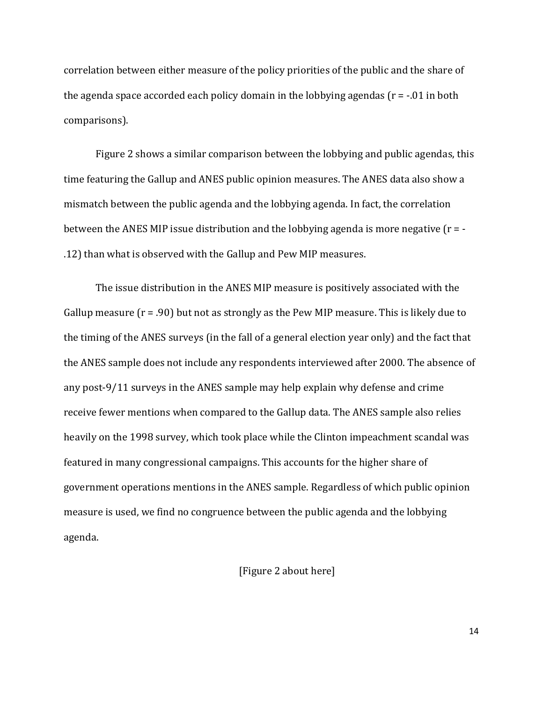correlation between either measure of the policy priorities of the public and the share of the agenda space accorded each policy domain in the lobbying agendas ( $r = -01$  in both comparisons).

Figure 2 shows a similar comparison between the lobbying and public agendas, this time featuring the Gallup and ANES public opinion measures. The ANES data also show a mismatch between the public agenda and the lobbying agenda. In fact, the correlation between the ANES MIP issue distribution and the lobbying agenda is more negative (r = - .12) than what is observed with the Gallup and Pew MIP measures.

The issue distribution in the ANES MIP measure is positively associated with the Gallup measure  $(r = .90)$  but not as strongly as the Pew MIP measure. This is likely due to the timing of the ANES surveys (in the fall of a general election year only) and the fact that the ANES sample does not include any respondents interviewed after 2000. The absence of any post-9/11 surveys in the ANES sample may help explain why defense and crime receive fewer mentions when compared to the Gallup data. The ANES sample also relies heavily on the 1998 survey, which took place while the Clinton impeachment scandal was featured in many congressional campaigns. This accounts for the higher share of government operations mentions in the ANES sample. Regardless of which public opinion measure is used, we find no congruence between the public agenda and the lobbying agenda.

#### [Figure 2 about here]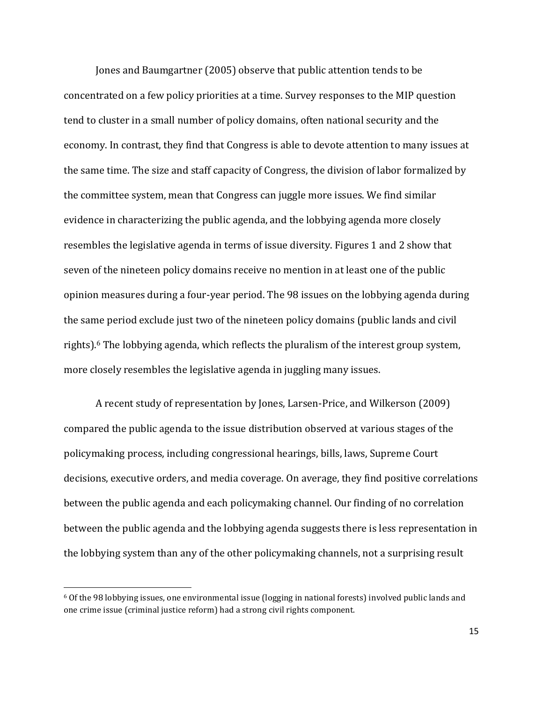Jones and Baumgartner (2005) observe that public attention tends to be concentrated on a few policy priorities at a time. Survey responses to the MIP question tend to cluster in a small number of policy domains, often national security and the economy. In contrast, they find that Congress is able to devote attention to many issues at the same time. The size and staff capacity of Congress, the division of labor formalized by the committee system, mean that Congress can juggle more issues. We find similar evidence in characterizing the public agenda, and the lobbying agenda more closely resembles the legislative agenda in terms of issue diversity. Figures 1 and 2 show that seven of the nineteen policy domains receive no mention in at least one of the public opinion measures during a four-year period. The 98 issues on the lobbying agenda during the same period exclude just two of the nineteen policy domains (public lands and civil rights).<sup>6</sup> The lobbying agenda, which reflects the pluralism of the interest group system, more closely resembles the legislative agenda in juggling many issues.

A recent study of representation by Jones, Larsen-Price, and Wilkerson (2009) compared the public agenda to the issue distribution observed at various stages of the policymaking process, including congressional hearings, bills, laws, Supreme Court decisions, executive orders, and media coverage. On average, they find positive correlations between the public agenda and each policymaking channel. Our finding of no correlation between the public agenda and the lobbying agenda suggests there is less representation in the lobbying system than any of the other policymaking channels, not a surprising result

 $\overline{a}$ 

<sup>6</sup> Of the 98 lobbying issues, one environmental issue (logging in national forests) involved public lands and one crime issue (criminal justice reform) had a strong civil rights component.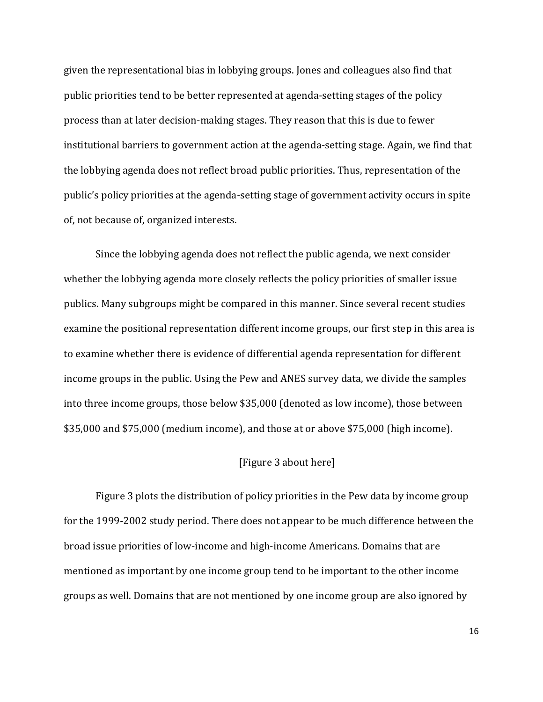given the representational bias in lobbying groups. Jones and colleagues also find that public priorities tend to be better represented at agenda-setting stages of the policy process than at later decision-making stages. They reason that this is due to fewer institutional barriers to government action at the agenda-setting stage. Again, we find that the lobbying agenda does not reflect broad public priorities. Thus, representation of the public's policy priorities at the agenda-setting stage of government activity occurs in spite of, not because of, organized interests.

Since the lobbying agenda does not reflect the public agenda, we next consider whether the lobbying agenda more closely reflects the policy priorities of smaller issue publics. Many subgroups might be compared in this manner. Since several recent studies examine the positional representation different income groups, our first step in this area is to examine whether there is evidence of differential agenda representation for different income groups in the public. Using the Pew and ANES survey data, we divide the samples into three income groups, those below \$35,000 (denoted as low income), those between \$35,000 and \$75,000 (medium income), and those at or above \$75,000 (high income).

## [Figure 3 about here]

Figure 3 plots the distribution of policy priorities in the Pew data by income group for the 1999-2002 study period. There does not appear to be much difference between the broad issue priorities of low-income and high-income Americans. Domains that are mentioned as important by one income group tend to be important to the other income groups as well. Domains that are not mentioned by one income group are also ignored by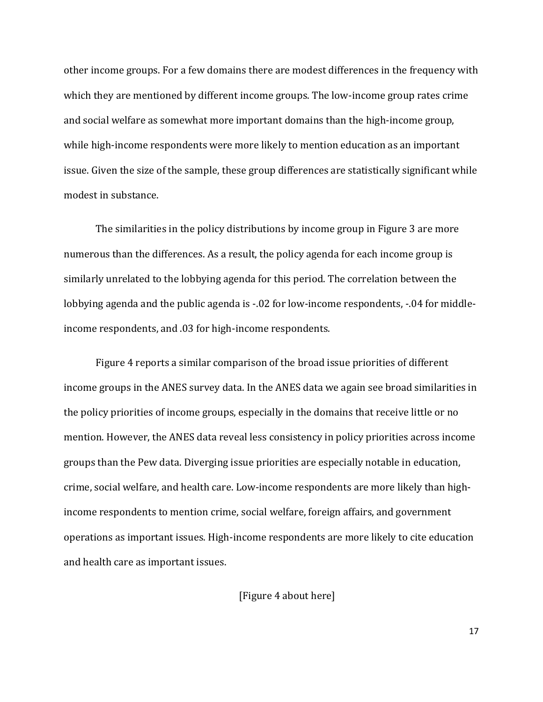other income groups. For a few domains there are modest differences in the frequency with which they are mentioned by different income groups. The low-income group rates crime and social welfare as somewhat more important domains than the high-income group, while high-income respondents were more likely to mention education as an important issue. Given the size of the sample, these group differences are statistically significant while modest in substance.

The similarities in the policy distributions by income group in Figure 3 are more numerous than the differences. As a result, the policy agenda for each income group is similarly unrelated to the lobbying agenda for this period. The correlation between the lobbying agenda and the public agenda is -.02 for low-income respondents, -.04 for middleincome respondents, and .03 for high-income respondents.

Figure 4 reports a similar comparison of the broad issue priorities of different income groups in the ANES survey data. In the ANES data we again see broad similarities in the policy priorities of income groups, especially in the domains that receive little or no mention. However, the ANES data reveal less consistency in policy priorities across income groups than the Pew data. Diverging issue priorities are especially notable in education, crime, social welfare, and health care. Low-income respondents are more likely than highincome respondents to mention crime, social welfare, foreign affairs, and government operations as important issues. High-income respondents are more likely to cite education and health care as important issues.

[Figure 4 about here]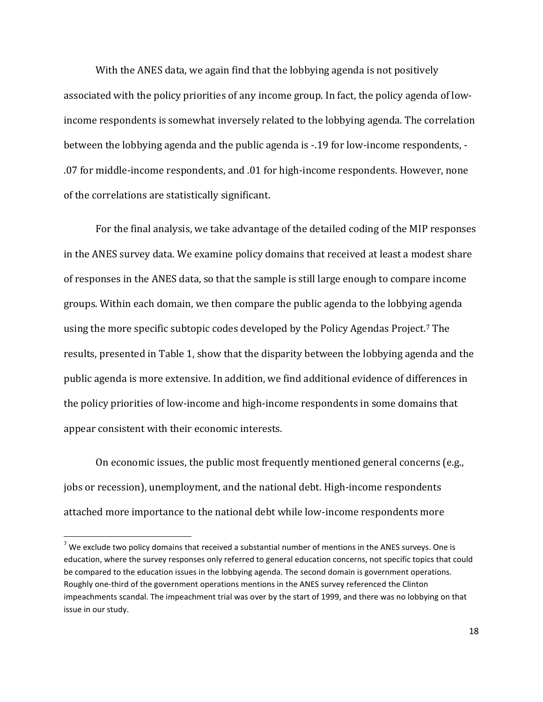With the ANES data, we again find that the lobbying agenda is not positively associated with the policy priorities of any income group. In fact, the policy agenda of lowincome respondents is somewhat inversely related to the lobbying agenda. The correlation between the lobbying agenda and the public agenda is -.19 for low-income respondents, - .07 for middle-income respondents, and .01 for high-income respondents. However, none of the correlations are statistically significant.

For the final analysis, we take advantage of the detailed coding of the MIP responses in the ANES survey data. We examine policy domains that received at least a modest share of responses in the ANES data, so that the sample is still large enough to compare income groups. Within each domain, we then compare the public agenda to the lobbying agenda using the more specific subtopic codes developed by the Policy Agendas Project.<sup>7</sup> The results, presented in Table 1, show that the disparity between the lobbying agenda and the public agenda is more extensive. In addition, we find additional evidence of differences in the policy priorities of low-income and high-income respondents in some domains that appear consistent with their economic interests.

On economic issues, the public most frequently mentioned general concerns (e.g., jobs or recession), unemployment, and the national debt. High-income respondents attached more importance to the national debt while low-income respondents more

l

 $7$  We exclude two policy domains that received a substantial number of mentions in the ANES surveys. One is education, where the survey responses only referred to general education concerns, not specific topics that could be compared to the education issues in the lobbying agenda. The second domain is government operations. Roughly one-third of the government operations mentions in the ANES survey referenced the Clinton impeachments scandal. The impeachment trial was over by the start of 1999, and there was no lobbying on that issue in our study.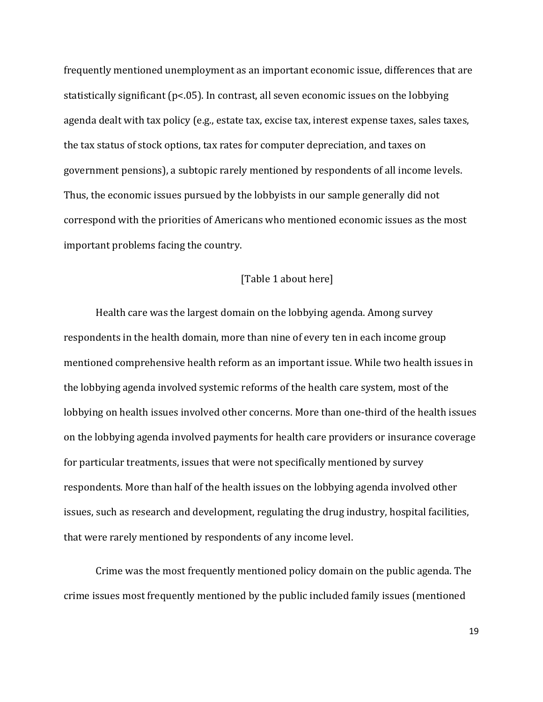frequently mentioned unemployment as an important economic issue, differences that are statistically significant (p<.05). In contrast, all seven economic issues on the lobbying agenda dealt with tax policy (e.g., estate tax, excise tax, interest expense taxes, sales taxes, the tax status of stock options, tax rates for computer depreciation, and taxes on government pensions), a subtopic rarely mentioned by respondents of all income levels. Thus, the economic issues pursued by the lobbyists in our sample generally did not correspond with the priorities of Americans who mentioned economic issues as the most important problems facing the country.

#### [Table 1 about here]

Health care was the largest domain on the lobbying agenda. Among survey respondents in the health domain, more than nine of every ten in each income group mentioned comprehensive health reform as an important issue. While two health issues in the lobbying agenda involved systemic reforms of the health care system, most of the lobbying on health issues involved other concerns. More than one-third of the health issues on the lobbying agenda involved payments for health care providers or insurance coverage for particular treatments, issues that were not specifically mentioned by survey respondents. More than half of the health issues on the lobbying agenda involved other issues, such as research and development, regulating the drug industry, hospital facilities, that were rarely mentioned by respondents of any income level.

Crime was the most frequently mentioned policy domain on the public agenda. The crime issues most frequently mentioned by the public included family issues (mentioned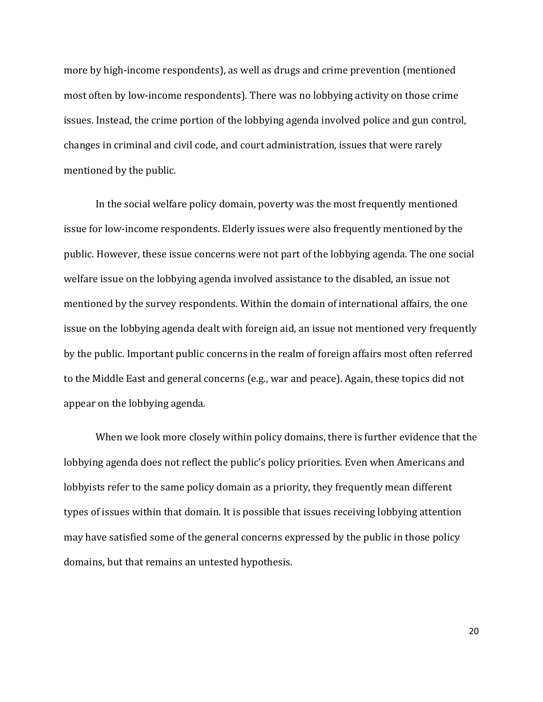more by high-income respondents), as well as drugs and crime prevention (mentioned most often by low-income respondents). There was no lobbying activity on those crime issues. Instead, the crime portion of the lobbying agenda involved police and gun control, changes in criminal and civil code, and court administration, issues that were rarely mentioned by the public.

In the social welfare policy domain, poverty was the most frequently mentioned issue for low-income respondents. Elderly issues were also frequently mentioned by the public. However, these issue concerns were not part of the lobbying agenda. The one social welfare issue on the lobbying agenda involved assistance to the disabled, an issue not mentioned by the survey respondents. Within the domain of international affairs, the one issue on the lobbying agenda dealt with foreign aid, an issue not mentioned very frequently by the public. Important public concerns in the realm of foreign affairs most often referred to the Middle East and general concerns (e.g., war and peace). Again, these topics did not appear on the lobbying agenda.

When we look more closely within policy domains, there is further evidence that the lobbying agenda does not reflect the public's policy priorities. Even when Americans and lobbyists refer to the same policy domain as a priority, they frequently mean different types of issues within that domain. It is possible that issues receiving lobbying attention may have satisfied some of the general concerns expressed by the public in those policy domains, but that remains an untested hypothesis.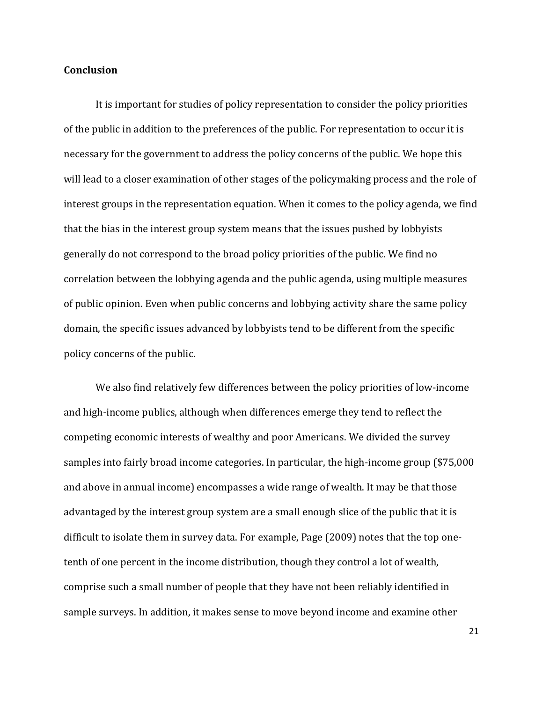#### **Conclusion**

It is important for studies of policy representation to consider the policy priorities of the public in addition to the preferences of the public. For representation to occur it is necessary for the government to address the policy concerns of the public. We hope this will lead to a closer examination of other stages of the policymaking process and the role of interest groups in the representation equation. When it comes to the policy agenda, we find that the bias in the interest group system means that the issues pushed by lobbyists generally do not correspond to the broad policy priorities of the public. We find no correlation between the lobbying agenda and the public agenda, using multiple measures of public opinion. Even when public concerns and lobbying activity share the same policy domain, the specific issues advanced by lobbyists tend to be different from the specific policy concerns of the public.

We also find relatively few differences between the policy priorities of low-income and high-income publics, although when differences emerge they tend to reflect the competing economic interests of wealthy and poor Americans. We divided the survey samples into fairly broad income categories. In particular, the high-income group (\$75,000 and above in annual income) encompasses a wide range of wealth. It may be that those advantaged by the interest group system are a small enough slice of the public that it is difficult to isolate them in survey data. For example, Page (2009) notes that the top onetenth of one percent in the income distribution, though they control a lot of wealth, comprise such a small number of people that they have not been reliably identified in sample surveys. In addition, it makes sense to move beyond income and examine other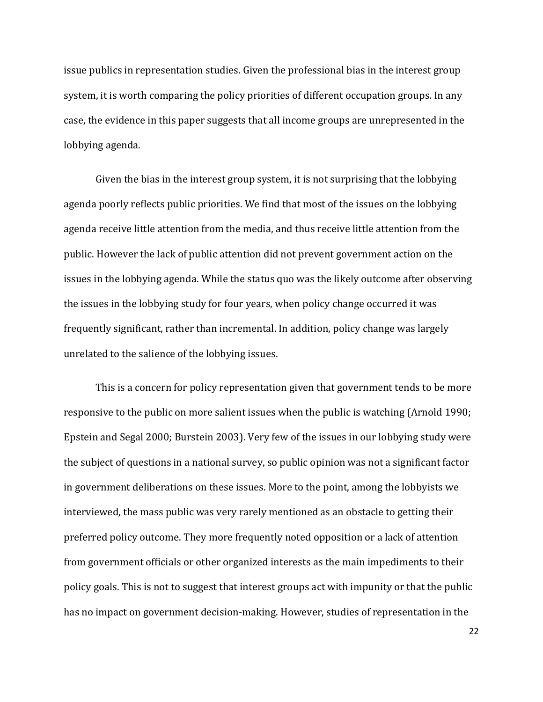issue publics in representation studies. Given the professional bias in the interest group system, it is worth comparing the policy priorities of different occupation groups. In any case, the evidence in this paper suggests that all income groups are unrepresented in the lobbying agenda.

Given the bias in the interest group system, it is not surprising that the lobbying agenda poorly reflects public priorities. We find that most of the issues on the lobbying agenda receive little attention from the media, and thus receive little attention from the public. However the lack of public attention did not prevent government action on the issues in the lobbying agenda. While the status quo was the likely outcome after observing the issues in the lobbying study for four years, when policy change occurred it was frequently significant, rather than incremental. In addition, policy change was largely unrelated to the salience of the lobbying issues.

This is a concern for policy representation given that government tends to be more responsive to the public on more salient issues when the public is watching (Arnold 1990; Epstein and Segal 2000; Burstein 2003). Very few of the issues in our lobbying study were the subject of questions in a national survey, so public opinion was not a significant factor in government deliberations on these issues. More to the point, among the lobbyists we interviewed, the mass public was very rarely mentioned as an obstacle to getting their preferred policy outcome. They more frequently noted opposition or a lack of attention from government officials or other organized interests as the main impediments to their policy goals. This is not to suggest that interest groups act with impunity or that the public has no impact on government decision-making. However, studies of representation in the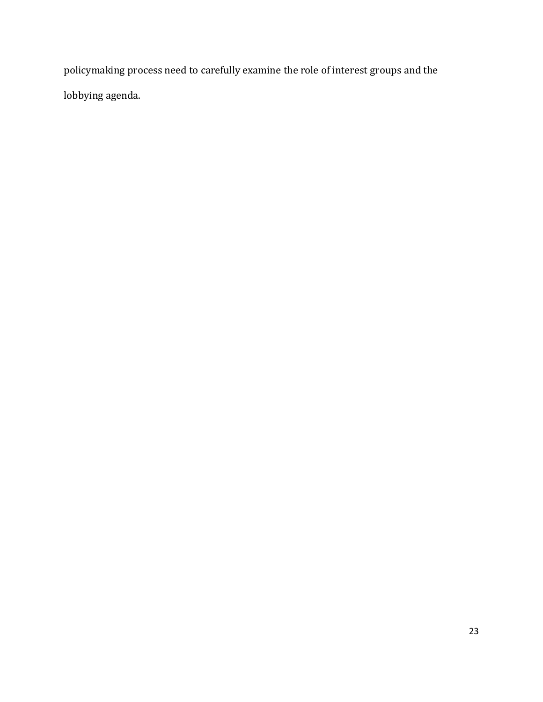policymaking process need to carefully examine the role of interest groups and the lobbying agenda.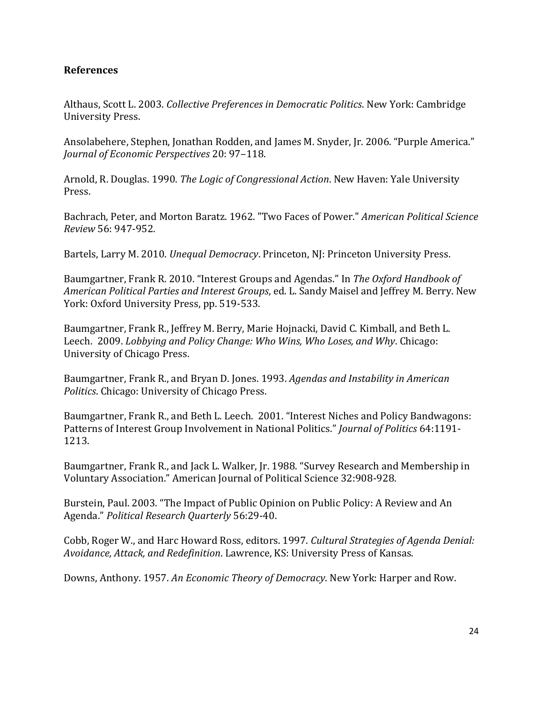## **References**

Althaus, Scott L. 2003. *Collective Preferences in Democratic Politics*. New York: Cambridge University Press.

Ansolabehere, Stephen, Jonathan Rodden, and James M. Snyder, Jr. 2006. "Purple America." *Journal of Economic Perspectives* 20: 97–118.

Arnold, R. Douglas. 1990. *The Logic of Congressional Action*. New Haven: Yale University Press.

Bachrach, Peter, and Morton Baratz. 1962. "Two Faces of Power." *American Political Science Review* 56: 947-952.

Bartels, Larry M. 2010. *Unequal Democracy*. Princeton, NJ: Princeton University Press.

Baumgartner, Frank R. 2010. "Interest Groups and Agendas." In *The Oxford Handbook of American Political Parties and Interest Groups*, ed. L. Sandy Maisel and Jeffrey M. Berry. New York: Oxford University Press, pp. 519-533.

Baumgartner, Frank R., Jeffrey M. Berry, Marie Hojnacki, David C. Kimball, and Beth L. Leech. 2009. *Lobbying and Policy Change: Who Wins, Who Loses, and Why*. Chicago: University of Chicago Press.

Baumgartner, Frank R., and Bryan D. Jones. 1993. *Agendas and Instability in American Politics*. Chicago: University of Chicago Press.

Baumgartner, Frank R., and Beth L. Leech. 2001. "Interest Niches and Policy Bandwagons: Patterns of Interest Group Involvement in National Politics." *Journal of Politics* 64:1191- 1213.

Baumgartner, Frank R., and Jack L. Walker, Jr. 1988. "Survey Research and Membership in Voluntary Association." American Journal of Political Science 32:908-928.

Burstein, Paul. 2003. "The Impact of Public Opinion on Public Policy: A Review and An Agenda." *Political Research Quarterly* 56:29-40.

Cobb, Roger W., and Harc Howard Ross, editors. 1997. *Cultural Strategies of Agenda Denial: Avoidance, Attack, and Redefinition*. Lawrence, KS: University Press of Kansas.

Downs, Anthony. 1957. *An Economic Theory of Democracy*. New York: Harper and Row.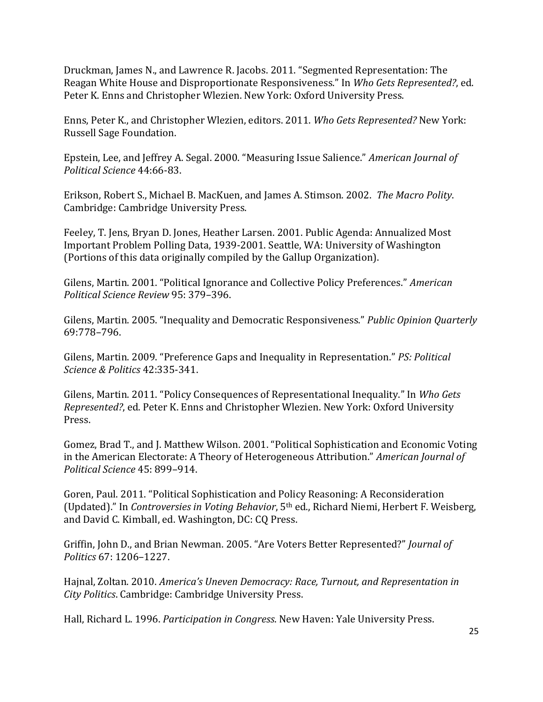Druckman, James N., and Lawrence R. Jacobs. 2011. "Segmented Representation: The Reagan White House and Disproportionate Responsiveness." In *Who Gets Represented?*, ed. Peter K. Enns and Christopher Wlezien. New York: Oxford University Press.

Enns, Peter K., and Christopher Wlezien, editors. 2011. *Who Gets Represented?* New York: Russell Sage Foundation.

Epstein, Lee, and Jeffrey A. Segal. 2000. "Measuring Issue Salience." *American Journal of Political Science* 44:66-83.

Erikson, Robert S., Michael B. MacKuen, and James A. Stimson. 2002. *The Macro Polity*. Cambridge: Cambridge University Press.

Feeley, T. Jens, Bryan D. Jones, Heather Larsen. 2001. Public Agenda: Annualized Most Important Problem Polling Data, 1939-2001. Seattle, WA: University of Washington (Portions of this data originally compiled by the Gallup Organization).

Gilens, Martin. 2001. "Political Ignorance and Collective Policy Preferences." *American Political Science Review* 95: 379–396.

Gilens, Martin. 2005. "Inequality and Democratic Responsiveness." *Public Opinion Quarterly* 69:778–796.

Gilens, Martin. 2009. "Preference Gaps and Inequality in Representation." *PS: Political Science & Politics* 42:335-341.

Gilens, Martin. 2011. "Policy Consequences of Representational Inequality." In *Who Gets Represented?*, ed. Peter K. Enns and Christopher Wlezien. New York: Oxford University Press.

Gomez, Brad T., and J. Matthew Wilson. 2001. "Political Sophistication and Economic Voting in the American Electorate: A Theory of Heterogeneous Attribution." *American Journal of Political Science* 45: 899–914.

Goren, Paul. 2011. "Political Sophistication and Policy Reasoning: A Reconsideration (Updated)." In *Controversies in Voting Behavior*, 5th ed., Richard Niemi, Herbert F. Weisberg, and David C. Kimball, ed. Washington, DC: CQ Press.

Griffin, John D., and Brian Newman. 2005. "Are Voters Better Represented?" *Journal of Politics* 67: 1206–1227.

Hajnal, Zoltan. 2010. *America's Uneven Democracy: Race, Turnout, and Representation in City Politics*. Cambridge: Cambridge University Press.

Hall, Richard L. 1996. *Participation in Congress*. New Haven: Yale University Press.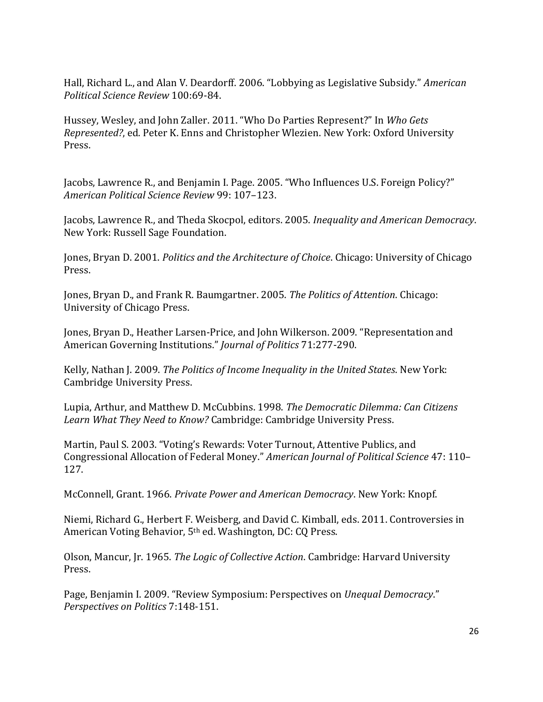Hall, Richard L., and Alan V. Deardorff. 2006. "Lobbying as Legislative Subsidy." *American Political Science Review* 100:69-84.

Hussey, Wesley, and John Zaller. 2011. "Who Do Parties Represent?" In *Who Gets Represented?*, ed. Peter K. Enns and Christopher Wlezien. New York: Oxford University Press.

Jacobs, Lawrence R., and Benjamin I. Page. 2005. "Who Influences U.S. Foreign Policy?" *American Political Science Review* 99: 107–123.

Jacobs, Lawrence R., and Theda Skocpol, editors. 2005. *Inequality and American Democracy*. New York: Russell Sage Foundation.

Jones, Bryan D. 2001. *Politics and the Architecture of Choice*. Chicago: University of Chicago Press.

Jones, Bryan D., and Frank R. Baumgartner. 2005. *The Politics of Attention*. Chicago: University of Chicago Press.

Jones, Bryan D., Heather Larsen-Price, and John Wilkerson. 2009. "Representation and American Governing Institutions." *Journal of Politics* 71:277-290.

Kelly, Nathan J. 2009. *The Politics of Income Inequality in the United States*. New York: Cambridge University Press.

Lupia, Arthur, and Matthew D. McCubbins. 1998. *The Democratic Dilemma: Can Citizens Learn What They Need to Know?* Cambridge: Cambridge University Press.

Martin, Paul S. 2003. "Voting's Rewards: Voter Turnout, Attentive Publics, and Congressional Allocation of Federal Money." *American Journal of Political Science* 47: 110– 127.

McConnell, Grant. 1966. *Private Power and American Democracy*. New York: Knopf.

Niemi, Richard G., Herbert F. Weisberg, and David C. Kimball, eds. 2011. Controversies in American Voting Behavior, 5th ed. Washington, DC: CQ Press.

Olson, Mancur, Jr. 1965. *The Logic of Collective Action*. Cambridge: Harvard University Press.

Page, Benjamin I. 2009. "Review Symposium: Perspectives on *Unequal Democracy*." *Perspectives on Politics* 7:148-151.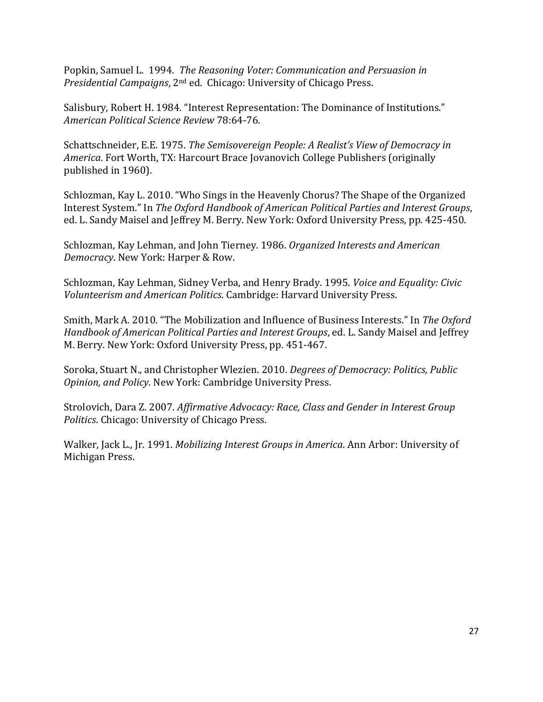Popkin, Samuel L. 1994. *The Reasoning Voter: Communication and Persuasion in Presidential Campaigns*, 2nd ed. Chicago: University of Chicago Press.

Salisbury, Robert H. 1984. "Interest Representation: The Dominance of Institutions." *American Political Science Review* 78:64-76.

Schattschneider, E.E. 1975. *The Semisovereign People: A Realist's View of Democracy in America*. Fort Worth, TX: Harcourt Brace Jovanovich College Publishers (originally published in 1960).

Schlozman, Kay L. 2010. "Who Sings in the Heavenly Chorus? The Shape of the Organized Interest System." In *The Oxford Handbook of American Political Parties and Interest Groups*, ed. L. Sandy Maisel and Jeffrey M. Berry. New York: Oxford University Press, pp. 425-450.

Schlozman, Kay Lehman, and John Tierney. 1986. *Organized Interests and American Democracy*. New York: Harper & Row.

Schlozman, Kay Lehman, Sidney Verba, and Henry Brady. 1995. *Voice and Equality: Civic Volunteerism and American Politics*. Cambridge: Harvard University Press.

Smith, Mark A. 2010. "The Mobilization and Influence of Business Interests." In *The Oxford Handbook of American Political Parties and Interest Groups*, ed. L. Sandy Maisel and Jeffrey M. Berry. New York: Oxford University Press, pp. 451-467.

Soroka, Stuart N., and Christopher Wlezien. 2010. *Degrees of Democracy: Politics, Public Opinion, and Policy*. New York: Cambridge University Press.

Strolovich, Dara Z. 2007. *Affirmative Advocacy: Race, Class and Gender in Interest Group Politics*. Chicago: University of Chicago Press.

Walker, Jack L., Jr. 1991. *Mobilizing Interest Groups in America*. Ann Arbor: University of Michigan Press.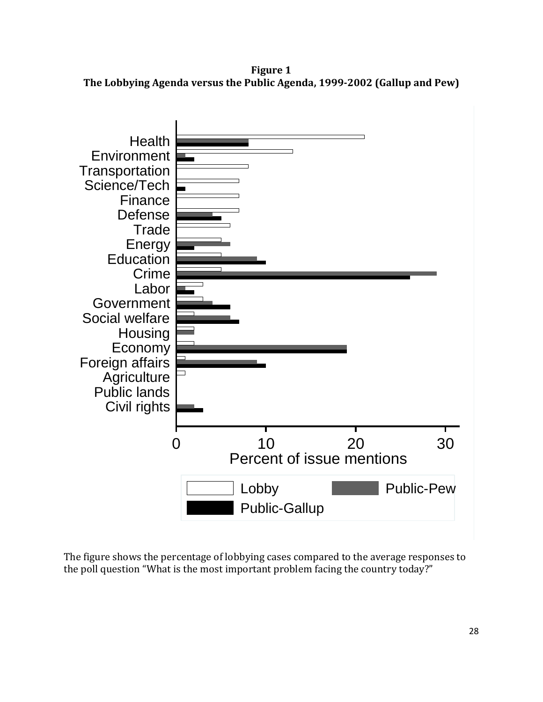**Figure 1 The Lobbying Agenda versus the Public Agenda, 1999-2002 (Gallup and Pew)**



The figure shows the percentage of lobbying cases compared to the average responses to the poll question "What is the most important problem facing the country today?"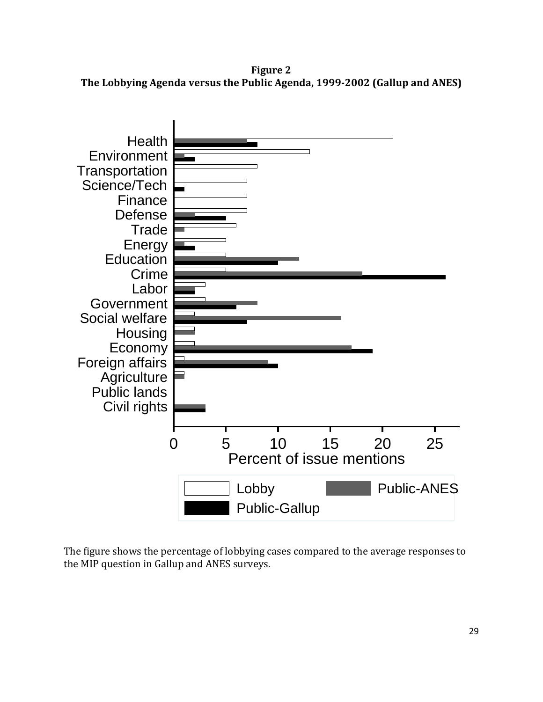**Figure 2 The Lobbying Agenda versus the Public Agenda, 1999-2002 (Gallup and ANES)**



The figure shows the percentage of lobbying cases compared to the average responses to the MIP question in Gallup and ANES surveys.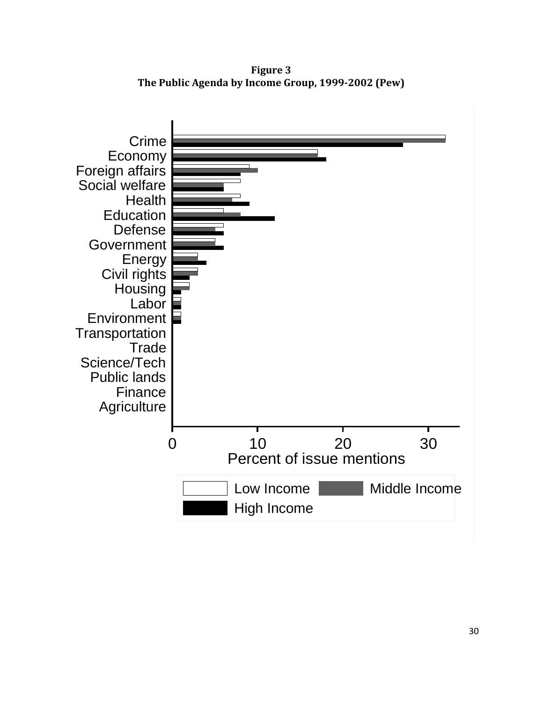**Figure 3 The Public Agenda by Income Group, 1999-2002 (Pew)**

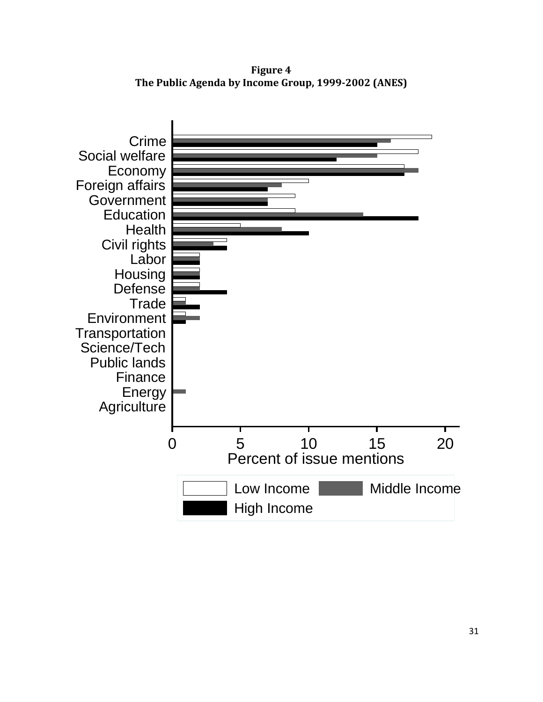**Figure 4 The Public Agenda by Income Group, 1999-2002 (ANES)**